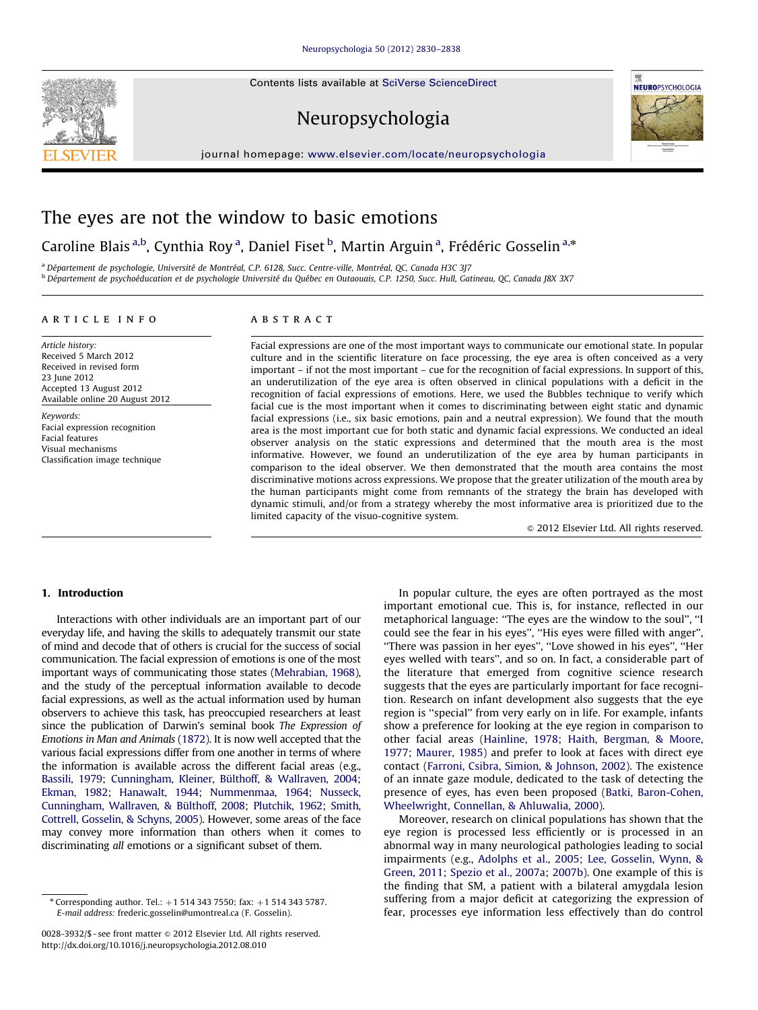Contents lists available at [SciVerse ScienceDirect](www.elsevier.com/locate/neuropsychologia)







journal homepage: <www.elsevier.com/locate/neuropsychologia>

# The eyes are not the window to basic emotions

Caroline Blais <sup>a,b</sup>, Cynthia Roy <sup>a</sup>, Daniel Fiset <sup>b</sup>, Martin Arguin <sup>a</sup>, Frédéric Gosselin <sup>a,</sup>\*

<sup>a</sup> Département de psychologie, Université de Montréal, C.P. 6128, Succ. Centre-ville, Montréal, OC, Canada H3C 3J7 <sup>b</sup> Département de psychoéducation et de psychologie Université du Québec en Outaouais, C.P. 1250, Succ. Hull, Gatineau, QC, Canada J8X 3X7

## article info

Article history: Received 5 March 2012 Received in revised form 23 June 2012 Accepted 13 August 2012 Available online 20 August 2012

Keywords: Facial expression recognition Facial features Visual mechanisms Classification image technique

# **ABSTRACT**

Facial expressions are one of the most important ways to communicate our emotional state. In popular culture and in the scientific literature on face processing, the eye area is often conceived as a very important – if not the most important – cue for the recognition of facial expressions. In support of this, an underutilization of the eye area is often observed in clinical populations with a deficit in the recognition of facial expressions of emotions. Here, we used the Bubbles technique to verify which facial cue is the most important when it comes to discriminating between eight static and dynamic facial expressions (i.e., six basic emotions, pain and a neutral expression). We found that the mouth area is the most important cue for both static and dynamic facial expressions. We conducted an ideal observer analysis on the static expressions and determined that the mouth area is the most informative. However, we found an underutilization of the eye area by human participants in comparison to the ideal observer. We then demonstrated that the mouth area contains the most discriminative motions across expressions. We propose that the greater utilization of the mouth area by the human participants might come from remnants of the strategy the brain has developed with dynamic stimuli, and/or from a strategy whereby the most informative area is prioritized due to the limited capacity of the visuo-cognitive system.

 $\odot$  2012 Elsevier Ltd. All rights reserved.

# 1. Introduction

Interactions with other individuals are an important part of our everyday life, and having the skills to adequately transmit our state of mind and decode that of others is crucial for the success of social communication. The facial expression of emotions is one of the most important ways of communicating those states ([Mehrabian, 1968\)](#page-7-0), and the study of the perceptual information available to decode facial expressions, as well as the actual information used by human observers to achieve this task, has preoccupied researchers at least since the publication of Darwin's seminal book The Expression of Emotions in Man and Animals [\(1872](#page-7-0)). It is now well accepted that the various facial expressions differ from one another in terms of where the information is available across the different facial areas (e.g., [Bassili, 1979](#page-7-0); Cunningham, Kleiner, Bülthoff, [& Wallraven, 2004](#page-7-0); [Ekman, 1982;](#page-7-0) [Hanawalt, 1944](#page-7-0); [Nummenmaa, 1964;](#page-7-0) [Nusseck,](#page-7-0) [Cunningham, Wallraven,](#page-7-0) & Bülthoff, 2008; [Plutchik, 1962](#page-8-0); [Smith,](#page-8-0) [Cottrell, Gosselin,](#page-8-0) [& Schyns, 2005](#page-8-0)). However, some areas of the face may convey more information than others when it comes to discriminating all emotions or a significant subset of them.

In popular culture, the eyes are often portrayed as the most important emotional cue. This is, for instance, reflected in our metaphorical language: ''The eyes are the window to the soul'', ''I could see the fear in his eyes'', ''His eyes were filled with anger'', ''There was passion in her eyes'', ''Love showed in his eyes'', ''Her eyes welled with tears'', and so on. In fact, a considerable part of the literature that emerged from cognitive science research suggests that the eyes are particularly important for face recognition. Research on infant development also suggests that the eye region is ''special'' from very early on in life. For example, infants show a preference for looking at the eye region in comparison to other facial areas [\(Hainline, 1978;](#page-7-0) [Haith, Bergman,](#page-7-0) [& Moore,](#page-7-0) [1977;](#page-7-0) [Maurer, 1985\)](#page-7-0) and prefer to look at faces with direct eye contact ([Farroni, Csibra, Simion,](#page-7-0) [& Johnson, 2002\)](#page-7-0). The existence of an innate gaze module, dedicated to the task of detecting the presence of eyes, has even been proposed [\(Batki, Baron-Cohen,](#page-7-0) [Wheelwright, Connellan, & Ahluwalia, 2000\)](#page-7-0).

Moreover, research on clinical populations has shown that the eye region is processed less efficiently or is processed in an abnormal way in many neurological pathologies leading to social impairments (e.g., [Adolphs et al., 2005](#page-7-0); [Lee, Gosselin, Wynn, &](#page-7-0) [Green, 2011](#page-7-0); [Spezio et al., 2007a;](#page-8-0) [2007b](#page-8-0)). One example of this is the finding that SM, a patient with a bilateral amygdala lesion suffering from a major deficit at categorizing the expression of fear, processes eye information less effectively than do control

<sup>\*</sup> Corresponding author. Tel.:  $+1$  514 343 7550; fax:  $+1$  514 343 5787. E-mail address: [frederic.gosselin@umontreal.ca \(F. Gosselin\)](mailto:frederic.gosselin@umontreal.ca).

<sup>0028-3932/\$ -</sup> see front matter @ 2012 Elsevier Ltd. All rights reserved. [http://dx.doi.org/10.1016/j.neuropsychologia.2012.08.010](dx.doi.org/10.1016/j.neuropsychologia.2012.08.010)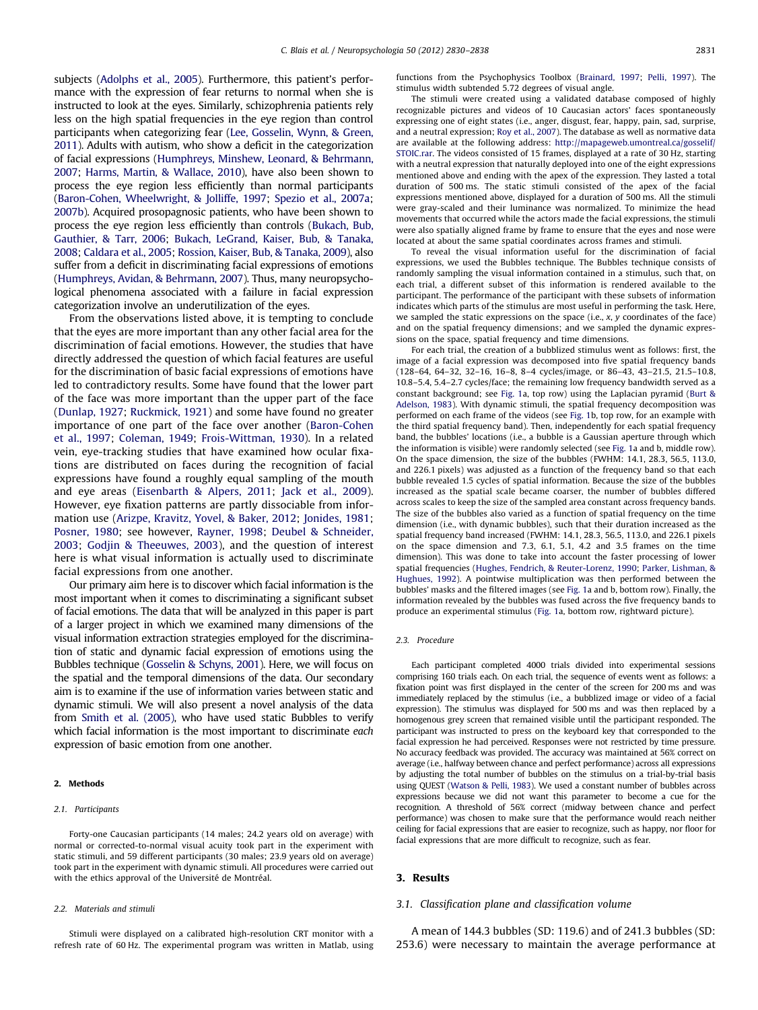<span id="page-1-0"></span>subjects [\(Adolphs et al., 2005](#page-7-0)). Furthermore, this patient's performance with the expression of fear returns to normal when she is instructed to look at the eyes. Similarly, schizophrenia patients rely less on the high spatial frequencies in the eye region than control participants when categorizing fear [\(Lee, Gosselin, Wynn, & Green,](#page-7-0) [2011](#page-7-0)). Adults with autism, who show a deficit in the categorization of facial expressions ([Humphreys, Minshew, Leonard, & Behrmann,](#page-7-0) [2007](#page-7-0); [Harms, Martin,](#page-7-0) & [Wallace, 2010\)](#page-7-0), have also been shown to process the eye region less efficiently than normal participants [\(Baron-Cohen, Wheelwright, & Jolliffe, 1997](#page-7-0); [Spezio et al., 2007a;](#page-8-0) [2007b\)](#page-8-0). Acquired prosopagnosic patients, who have been shown to process the eye region less efficiently than controls [\(Bukach, Bub,](#page-7-0) [Gauthier, & Tarr, 2006](#page-7-0); [Bukach, LeGrand, Kaiser, Bub, & Tanaka,](#page-7-0) [2008](#page-7-0); [Caldara et al., 2005;](#page-7-0) [Rossion, Kaiser, Bub,](#page-8-0) & [Tanaka, 2009](#page-8-0)), also suffer from a deficit in discriminating facial expressions of emotions [\(Humphreys, Avidan,](#page-7-0) [& Behrmann, 2007](#page-7-0)). Thus, many neuropsychological phenomena associated with a failure in facial expression categorization involve an underutilization of the eyes.

From the observations listed above, it is tempting to conclude that the eyes are more important than any other facial area for the discrimination of facial emotions. However, the studies that have directly addressed the question of which facial features are useful for the discrimination of basic facial expressions of emotions have led to contradictory results. Some have found that the lower part of the face was more important than the upper part of the face ([Dunlap, 1927](#page-7-0); [Ruckmick, 1921\)](#page-8-0) and some have found no greater importance of one part of the face over another ([Baron-Cohen](#page-7-0) [et al., 1997](#page-7-0); [Coleman, 1949;](#page-7-0) [Frois-Wittman, 1930](#page-7-0)). In a related vein, eye-tracking studies that have examined how ocular fixations are distributed on faces during the recognition of facial expressions have found a roughly equal sampling of the mouth and eye areas [\(Eisenbarth](#page-7-0) & [Alpers, 2011;](#page-7-0) [Jack et al., 2009\)](#page-7-0). However, eye fixation patterns are partly dissociable from information use ([Arizpe, Kravitz, Yovel, & Baker, 2012](#page-7-0); [Jonides, 1981;](#page-7-0) [Posner, 1980](#page-8-0); see however, [Rayner, 1998;](#page-8-0) [Deubel](#page-7-0) [& Schneider,](#page-7-0) [2003;](#page-7-0) [Godjin](#page-7-0) [& Theeuwes, 2003\)](#page-7-0), and the question of interest here is what visual information is actually used to discriminate facial expressions from one another.

Our primary aim here is to discover which facial information is the most important when it comes to discriminating a significant subset of facial emotions. The data that will be analyzed in this paper is part of a larger project in which we examined many dimensions of the visual information extraction strategies employed for the discrimination of static and dynamic facial expression of emotions using the Bubbles technique [\(Gosselin & Schyns, 2001\)](#page-7-0). Here, we will focus on the spatial and the temporal dimensions of the data. Our secondary aim is to examine if the use of information varies between static and dynamic stimuli. We will also present a novel analysis of the data from [Smith et al. \(2005\),](#page-8-0) who have used static Bubbles to verify which facial information is the most important to discriminate each expression of basic emotion from one another.

#### 2. Methods

## 2.1. Participants

Forty-one Caucasian participants (14 males; 24.2 years old on average) with normal or corrected-to-normal visual acuity took part in the experiment with static stimuli, and 59 different participants (30 males; 23.9 years old on average) took part in the experiment with dynamic stimuli. All procedures were carried out with the ethics approval of the Université de Montréal.

## 2.2. Materials and stimuli

Stimuli were displayed on a calibrated high-resolution CRT monitor with a refresh rate of 60 Hz. The experimental program was written in Matlab, using functions from the Psychophysics Toolbox ([Brainard, 1997;](#page-7-0) [Pelli, 1997](#page-8-0)). The stimulus width subtended 5.72 degrees of visual angle.

The stimuli were created using a validated database composed of highly recognizable pictures and videos of 10 Caucasian actors' faces spontaneously expressing one of eight states (i.e., anger, disgust, fear, happy, pain, sad, surprise, and a neutral expression; [Roy et al., 2007](#page-8-0)). The database as well as normative data are available at the following address: [http://mapageweb.umontreal.ca/gosselif/](http://mapageweb.umontreal.ca/gosselif/STOIC.rar) [STOIC.rar.](http://mapageweb.umontreal.ca/gosselif/STOIC.rar) The videos consisted of 15 frames, displayed at a rate of 30 Hz, starting with a neutral expression that naturally deployed into one of the eight expressions mentioned above and ending with the apex of the expression. They lasted a total duration of 500 ms. The static stimuli consisted of the apex of the facial expressions mentioned above, displayed for a duration of 500 ms. All the stimuli were gray-scaled and their luminance was normalized. To minimize the head movements that occurred while the actors made the facial expressions, the stimuli were also spatially aligned frame by frame to ensure that the eyes and nose were located at about the same spatial coordinates across frames and stimuli.

To reveal the visual information useful for the discrimination of facial expressions, we used the Bubbles technique. The Bubbles technique consists of randomly sampling the visual information contained in a stimulus, such that, on each trial, a different subset of this information is rendered available to the participant. The performance of the participant with these subsets of information indicates which parts of the stimulus are most useful in performing the task. Here, we sampled the static expressions on the space (i.e.,  $x$ ,  $y$  coordinates of the face) and on the spatial frequency dimensions; and we sampled the dynamic expressions on the space, spatial frequency and time dimensions.

For each trial, the creation of a bubblized stimulus went as follows: first, the image of a facial expression was decomposed into five spatial frequency bands (128–64, 64–32, 32–16, 16–8, 8–4 cycles/image, or 86–43, 43–21.5, 21.5–10.8, 10.8–5.4, 5.4–2.7 cycles/face; the remaining low frequency bandwidth served as a constant background; see [Fig. 1a](#page-2-0), top row) using the Laplacian pyramid [\(Burt &](#page-7-0) [Adelson, 1983](#page-7-0)). With dynamic stimuli, the spatial frequency decomposition was performed on each frame of the videos (see [Fig. 1b](#page-2-0), top row, for an example with the third spatial frequency band). Then, independently for each spatial frequency band, the bubbles' locations (i.e., a bubble is a Gaussian aperture through which the information is visible) were randomly selected (see [Fig. 1a](#page-2-0) and b, middle row). On the space dimension, the size of the bubbles (FWHM:  $14.1, 28.3, 56.5, 113.0$ ) and 226.1 pixels) was adjusted as a function of the frequency band so that each bubble revealed 1.5 cycles of spatial information. Because the size of the bubbles increased as the spatial scale became coarser, the number of bubbles differed across scales to keep the size of the sampled area constant across frequency bands. The size of the bubbles also varied as a function of spatial frequency on the time dimension (i.e., with dynamic bubbles), such that their duration increased as the spatial frequency band increased (FWHM: 14.1, 28.3, 56.5, 113.0, and 226.1 pixels on the space dimension and 7.3, 6.1, 5.1, 4.2 and 3.5 frames on the time dimension). This was done to take into account the faster processing of lower spatial frequencies ([Hughes, Fendrich,](#page-7-0) & [Reuter-Lorenz, 1990](#page-7-0); [Parker, Lishman, &](#page-8-0) [Hughues, 1992\)](#page-8-0). A pointwise multiplication was then performed between the bubbles' masks and the filtered images (see [Fig. 1a](#page-2-0) and b, bottom row). Finally, the information revealed by the bubbles was fused across the five frequency bands to produce an experimental stimulus ([Fig. 1](#page-2-0)a, bottom row, rightward picture).

#### 2.3. Procedure

Each participant completed 4000 trials divided into experimental sessions comprising 160 trials each. On each trial, the sequence of events went as follows: a fixation point was first displayed in the center of the screen for 200 ms and was immediately replaced by the stimulus (i.e., a bubblized image or video of a facial expression). The stimulus was displayed for 500 ms and was then replaced by a homogenous grey screen that remained visible until the participant responded. The participant was instructed to press on the keyboard key that corresponded to the facial expression he had perceived. Responses were not restricted by time pressure. No accuracy feedback was provided. The accuracy was maintained at 56% correct on average (i.e., halfway between chance and perfect performance) across all expressions by adjusting the total number of bubbles on the stimulus on a trial-by-trial basis using QUEST [\(Watson](#page-8-0) & [Pelli, 1983](#page-8-0)). We used a constant number of bubbles across expressions because we did not want this parameter to become a cue for the recognition. A threshold of 56% correct (midway between chance and perfect performance) was chosen to make sure that the performance would reach neither ceiling for facial expressions that are easier to recognize, such as happy, nor floor for facial expressions that are more difficult to recognize, such as fear.

#### 3. Results

#### 3.1. Classification plane and classification volume

A mean of 144.3 bubbles (SD: 119.6) and of 241.3 bubbles (SD: 253.6) were necessary to maintain the average performance at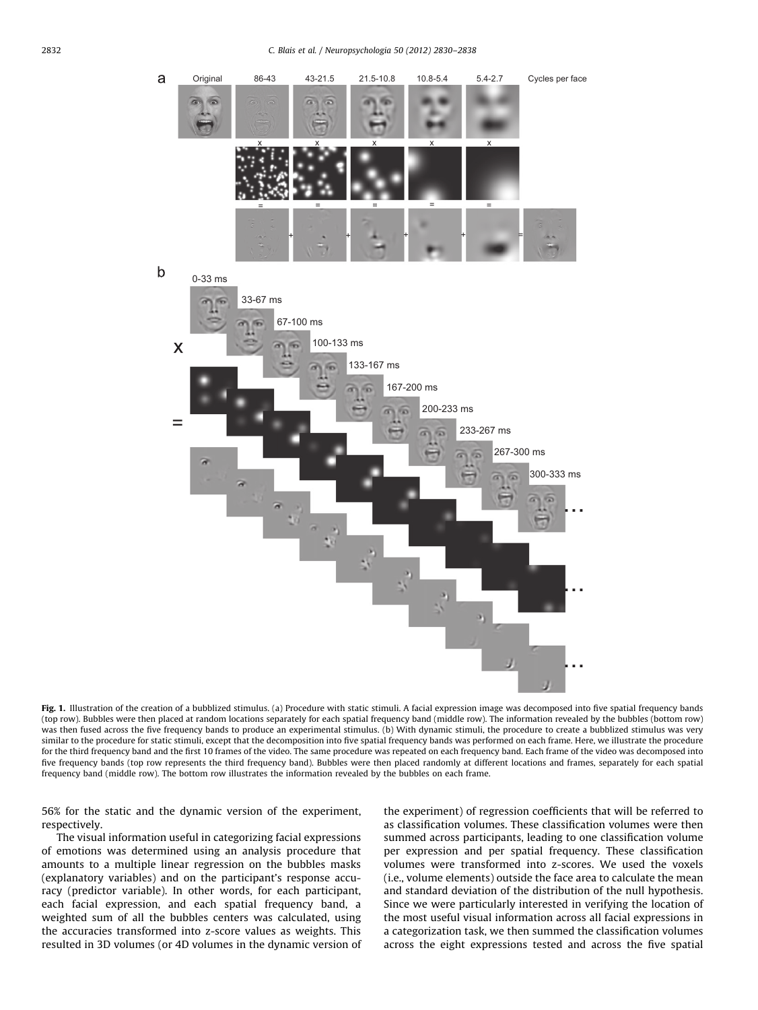<span id="page-2-0"></span>

Fig. 1. Illustration of the creation of a bubblized stimulus. (a) Procedure with static stimuli. A facial expression image was decomposed into five spatial frequency bands (top row). Bubbles were then placed at random locations separately for each spatial frequency band (middle row). The information revealed by the bubbles (bottom row) was then fused across the five frequency bands to produce an experimental stimulus. (b) With dynamic stimuli, the procedure to create a bubblized stimulus was very similar to the procedure for static stimuli, except that the decomposition into five spatial frequency bands was performed on each frame. Here, we illustrate the procedure for the third frequency band and the first 10 frames of the video. The same procedure was repeated on each frequency band. Each frame of the video was decomposed into five frequency bands (top row represents the third frequency band). Bubbles were then placed randomly at different locations and frames, separately for each spatial frequency band (middle row). The bottom row illustrates the information revealed by the bubbles on each frame.

56% for the static and the dynamic version of the experiment, respectively.

The visual information useful in categorizing facial expressions of emotions was determined using an analysis procedure that amounts to a multiple linear regression on the bubbles masks (explanatory variables) and on the participant's response accuracy (predictor variable). In other words, for each participant, each facial expression, and each spatial frequency band, a weighted sum of all the bubbles centers was calculated, using the accuracies transformed into z-score values as weights. This resulted in 3D volumes (or 4D volumes in the dynamic version of the experiment) of regression coefficients that will be referred to as classification volumes. These classification volumes were then summed across participants, leading to one classification volume per expression and per spatial frequency. These classification volumes were transformed into z-scores. We used the voxels (i.e., volume elements) outside the face area to calculate the mean and standard deviation of the distribution of the null hypothesis. Since we were particularly interested in verifying the location of the most useful visual information across all facial expressions in a categorization task, we then summed the classification volumes across the eight expressions tested and across the five spatial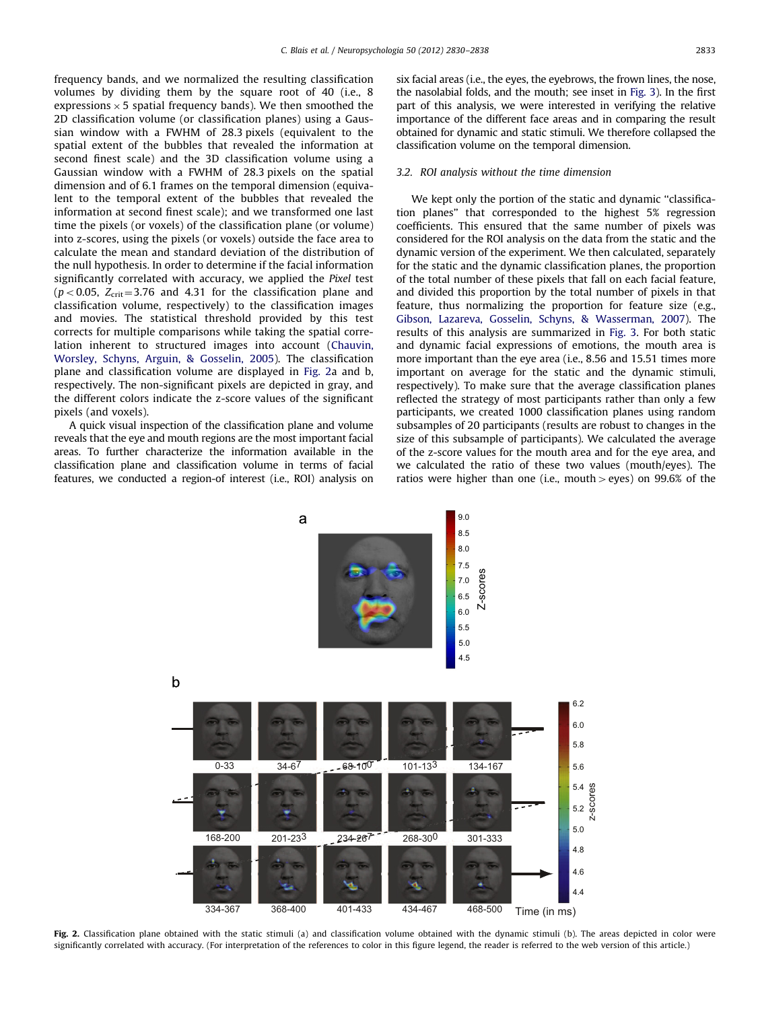<span id="page-3-0"></span>frequency bands, and we normalized the resulting classification volumes by dividing them by the square root of 40 (i.e., 8 expressions  $\times$  5 spatial frequency bands). We then smoothed the 2D classification volume (or classification planes) using a Gaussian window with a FWHM of 28.3 pixels (equivalent to the spatial extent of the bubbles that revealed the information at second finest scale) and the 3D classification volume using a Gaussian window with a FWHM of 28.3 pixels on the spatial dimension and of 6.1 frames on the temporal dimension (equivalent to the temporal extent of the bubbles that revealed the information at second finest scale); and we transformed one last time the pixels (or voxels) of the classification plane (or volume) into z-scores, using the pixels (or voxels) outside the face area to calculate the mean and standard deviation of the distribution of the null hypothesis. In order to determine if the facial information significantly correlated with accuracy, we applied the Pixel test  $(p<0.05, Z_{\text{crit}}=3.76$  and 4.31 for the classification plane and classification volume, respectively) to the classification images and movies. The statistical threshold provided by this test corrects for multiple comparisons while taking the spatial correlation inherent to structured images into account [\(Chauvin,](#page-7-0) [Worsley, Schyns, Arguin, & Gosselin, 2005](#page-7-0)). The classification plane and classification volume are displayed in Fig. 2a and b, respectively. The non-significant pixels are depicted in gray, and the different colors indicate the z-score values of the significant pixels (and voxels).

A quick visual inspection of the classification plane and volume reveals that the eye and mouth regions are the most important facial areas. To further characterize the information available in the classification plane and classification volume in terms of facial features, we conducted a region-of interest (i.e., ROI) analysis on six facial areas (i.e., the eyes, the eyebrows, the frown lines, the nose, the nasolabial folds, and the mouth; see inset in [Fig. 3](#page-4-0)). In the first part of this analysis, we were interested in verifying the relative importance of the different face areas and in comparing the result obtained for dynamic and static stimuli. We therefore collapsed the classification volume on the temporal dimension.

# 3.2. ROI analysis without the time dimension

We kept only the portion of the static and dynamic "classification planes'' that corresponded to the highest 5% regression coefficients. This ensured that the same number of pixels was considered for the ROI analysis on the data from the static and the dynamic version of the experiment. We then calculated, separately for the static and the dynamic classification planes, the proportion of the total number of these pixels that fall on each facial feature, and divided this proportion by the total number of pixels in that feature, thus normalizing the proportion for feature size (e.g., [Gibson, Lazareva, Gosselin, Schyns, & Wasserman, 2007](#page-7-0)). The results of this analysis are summarized in [Fig. 3](#page-4-0). For both static and dynamic facial expressions of emotions, the mouth area is more important than the eye area (i.e., 8.56 and 15.51 times more important on average for the static and the dynamic stimuli, respectively). To make sure that the average classification planes reflected the strategy of most participants rather than only a few participants, we created 1000 classification planes using random subsamples of 20 participants (results are robust to changes in the size of this subsample of participants). We calculated the average of the z-score values for the mouth area and for the eye area, and we calculated the ratio of these two values (mouth/eyes). The ratios were higher than one (i.e., mouth  $>$  eyes) on 99.6% of the



Fig. 2. Classification plane obtained with the static stimuli (a) and classification volume obtained with the dynamic stimuli (b). The areas depicted in color were significantly correlated with accuracy. (For interpretation of the references to color in this figure legend, the reader is referred to the web version of this article.)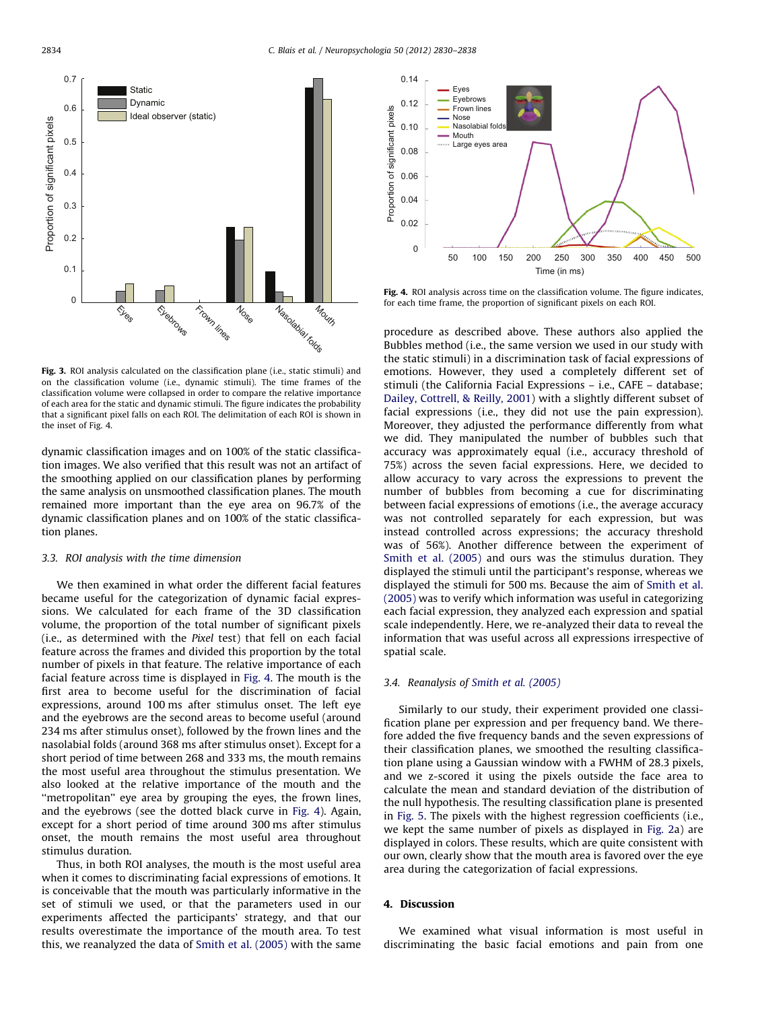<span id="page-4-0"></span>

Fig. 3. ROI analysis calculated on the classification plane (i.e., static stimuli) and on the classification volume (i.e., dynamic stimuli). The time frames of the classification volume were collapsed in order to compare the relative importance of each area for the static and dynamic stimuli. The figure indicates the probability that a significant pixel falls on each ROI. The delimitation of each ROI is shown in the inset of Fig. 4.

dynamic classification images and on 100% of the static classification images. We also verified that this result was not an artifact of the smoothing applied on our classification planes by performing the same analysis on unsmoothed classification planes. The mouth remained more important than the eye area on 96.7% of the dynamic classification planes and on 100% of the static classification planes.

# 3.3. ROI analysis with the time dimension

We then examined in what order the different facial features became useful for the categorization of dynamic facial expressions. We calculated for each frame of the 3D classification volume, the proportion of the total number of significant pixels (i.e., as determined with the Pixel test) that fell on each facial feature across the frames and divided this proportion by the total number of pixels in that feature. The relative importance of each facial feature across time is displayed in Fig. 4. The mouth is the first area to become useful for the discrimination of facial expressions, around 100 ms after stimulus onset. The left eye and the eyebrows are the second areas to become useful (around 234 ms after stimulus onset), followed by the frown lines and the nasolabial folds (around 368 ms after stimulus onset). Except for a short period of time between 268 and 333 ms, the mouth remains the most useful area throughout the stimulus presentation. We also looked at the relative importance of the mouth and the ''metropolitan'' eye area by grouping the eyes, the frown lines, and the eyebrows (see the dotted black curve in Fig. 4). Again, except for a short period of time around 300 ms after stimulus onset, the mouth remains the most useful area throughout stimulus duration.

Thus, in both ROI analyses, the mouth is the most useful area when it comes to discriminating facial expressions of emotions. It is conceivable that the mouth was particularly informative in the set of stimuli we used, or that the parameters used in our experiments affected the participants' strategy, and that our results overestimate the importance of the mouth area. To test this, we reanalyzed the data of [Smith et al. \(2005\)](#page-8-0) with the same



Fig. 4. ROI analysis across time on the classification volume. The figure indicates, for each time frame, the proportion of significant pixels on each ROI.

procedure as described above. These authors also applied the Bubbles method (i.e., the same version we used in our study with the static stimuli) in a discrimination task of facial expressions of emotions. However, they used a completely different set of stimuli (the California Facial Expressions – i.e., CAFE – database; [Dailey, Cottrell, & Reilly, 2001\)](#page-7-0) with a slightly different subset of facial expressions (i.e., they did not use the pain expression). Moreover, they adjusted the performance differently from what we did. They manipulated the number of bubbles such that accuracy was approximately equal (i.e., accuracy threshold of 75%) across the seven facial expressions. Here, we decided to allow accuracy to vary across the expressions to prevent the number of bubbles from becoming a cue for discriminating between facial expressions of emotions (i.e., the average accuracy was not controlled separately for each expression, but was instead controlled across expressions; the accuracy threshold was of 56%). Another difference between the experiment of [Smith et al. \(2005\)](#page-8-0) and ours was the stimulus duration. They displayed the stimuli until the participant's response, whereas we displayed the stimuli for 500 ms. Because the aim of [Smith et al.](#page-8-0) [\(2005\)](#page-8-0) was to verify which information was useful in categorizing each facial expression, they analyzed each expression and spatial scale independently. Here, we re-analyzed their data to reveal the information that was useful across all expressions irrespective of spatial scale.

## 3.4. Reanalysis of [Smith et al. \(2005\)](#page-8-0)

Similarly to our study, their experiment provided one classification plane per expression and per frequency band. We therefore added the five frequency bands and the seven expressions of their classification planes, we smoothed the resulting classification plane using a Gaussian window with a FWHM of 28.3 pixels, and we z-scored it using the pixels outside the face area to calculate the mean and standard deviation of the distribution of the null hypothesis. The resulting classification plane is presented in [Fig. 5](#page-5-0). The pixels with the highest regression coefficients (i.e., we kept the same number of pixels as displayed in [Fig. 2](#page-3-0)a) are displayed in colors. These results, which are quite consistent with our own, clearly show that the mouth area is favored over the eye area during the categorization of facial expressions.

# 4. Discussion

We examined what visual information is most useful in discriminating the basic facial emotions and pain from one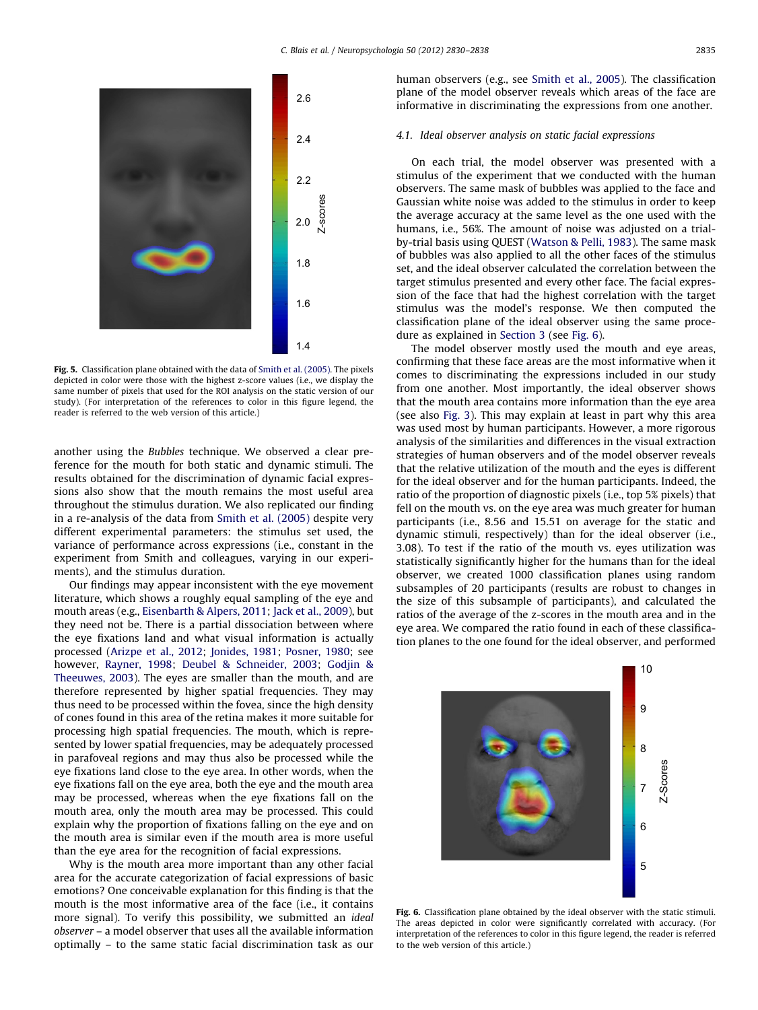<span id="page-5-0"></span>

Fig. 5. Classification plane obtained with the data of [Smith et al. \(2005\)](#page-8-0). The pixels depicted in color were those with the highest z-score values (i.e., we display the same number of pixels that used for the ROI analysis on the static version of our study). (For interpretation of the references to color in this figure legend, the reader is referred to the web version of this article.)

another using the Bubbles technique. We observed a clear preference for the mouth for both static and dynamic stimuli. The results obtained for the discrimination of dynamic facial expressions also show that the mouth remains the most useful area throughout the stimulus duration. We also replicated our finding in a re-analysis of the data from [Smith et al. \(2005\)](#page-8-0) despite very different experimental parameters: the stimulus set used, the variance of performance across expressions (i.e., constant in the experiment from Smith and colleagues, varying in our experiments), and the stimulus duration.

Our findings may appear inconsistent with the eye movement literature, which shows a roughly equal sampling of the eye and mouth areas (e.g., [Eisenbarth & Alpers, 2011;](#page-7-0) [Jack et al., 2009\)](#page-7-0), but they need not be. There is a partial dissociation between where the eye fixations land and what visual information is actually processed ([Arizpe et al., 2012](#page-7-0); [Jonides, 1981](#page-7-0); [Posner, 1980;](#page-8-0) see however, [Rayner, 1998](#page-8-0); [Deubel](#page-7-0) & [Schneider, 2003;](#page-7-0) [Godjin &](#page-7-0) [Theeuwes, 2003](#page-7-0)). The eyes are smaller than the mouth, and are therefore represented by higher spatial frequencies. They may thus need to be processed within the fovea, since the high density of cones found in this area of the retina makes it more suitable for processing high spatial frequencies. The mouth, which is represented by lower spatial frequencies, may be adequately processed in parafoveal regions and may thus also be processed while the eye fixations land close to the eye area. In other words, when the eye fixations fall on the eye area, both the eye and the mouth area may be processed, whereas when the eye fixations fall on the mouth area, only the mouth area may be processed. This could explain why the proportion of fixations falling on the eye and on the mouth area is similar even if the mouth area is more useful than the eye area for the recognition of facial expressions.

Why is the mouth area more important than any other facial area for the accurate categorization of facial expressions of basic emotions? One conceivable explanation for this finding is that the mouth is the most informative area of the face (i.e., it contains more signal). To verify this possibility, we submitted an ideal observer – a model observer that uses all the available information optimally – to the same static facial discrimination task as our human observers (e.g., see [Smith et al., 2005\)](#page-8-0). The classification plane of the model observer reveals which areas of the face are informative in discriminating the expressions from one another.

# 4.1. Ideal observer analysis on static facial expressions

On each trial, the model observer was presented with a stimulus of the experiment that we conducted with the human observers. The same mask of bubbles was applied to the face and Gaussian white noise was added to the stimulus in order to keep the average accuracy at the same level as the one used with the humans, i.e., 56%. The amount of noise was adjusted on a trialby-trial basis using QUEST [\(Watson & Pelli, 1983\)](#page-8-0). The same mask of bubbles was also applied to all the other faces of the stimulus set, and the ideal observer calculated the correlation between the target stimulus presented and every other face. The facial expression of the face that had the highest correlation with the target stimulus was the model's response. We then computed the classification plane of the ideal observer using the same procedure as explained in [Section 3](#page-1-0) (see Fig. 6).

The model observer mostly used the mouth and eye areas, confirming that these face areas are the most informative when it comes to discriminating the expressions included in our study from one another. Most importantly, the ideal observer shows that the mouth area contains more information than the eye area (see also [Fig. 3\)](#page-4-0). This may explain at least in part why this area was used most by human participants. However, a more rigorous analysis of the similarities and differences in the visual extraction strategies of human observers and of the model observer reveals that the relative utilization of the mouth and the eyes is different for the ideal observer and for the human participants. Indeed, the ratio of the proportion of diagnostic pixels (i.e., top 5% pixels) that fell on the mouth vs. on the eye area was much greater for human participants (i.e., 8.56 and 15.51 on average for the static and dynamic stimuli, respectively) than for the ideal observer (i.e., 3.08). To test if the ratio of the mouth vs. eyes utilization was statistically significantly higher for the humans than for the ideal observer, we created 1000 classification planes using random subsamples of 20 participants (results are robust to changes in the size of this subsample of participants), and calculated the ratios of the average of the z-scores in the mouth area and in the eye area. We compared the ratio found in each of these classification planes to the one found for the ideal observer, and performed



Fig. 6. Classification plane obtained by the ideal observer with the static stimuli. The areas depicted in color were significantly correlated with accuracy. (For interpretation of the references to color in this figure legend, the reader is referred to the web version of this article.)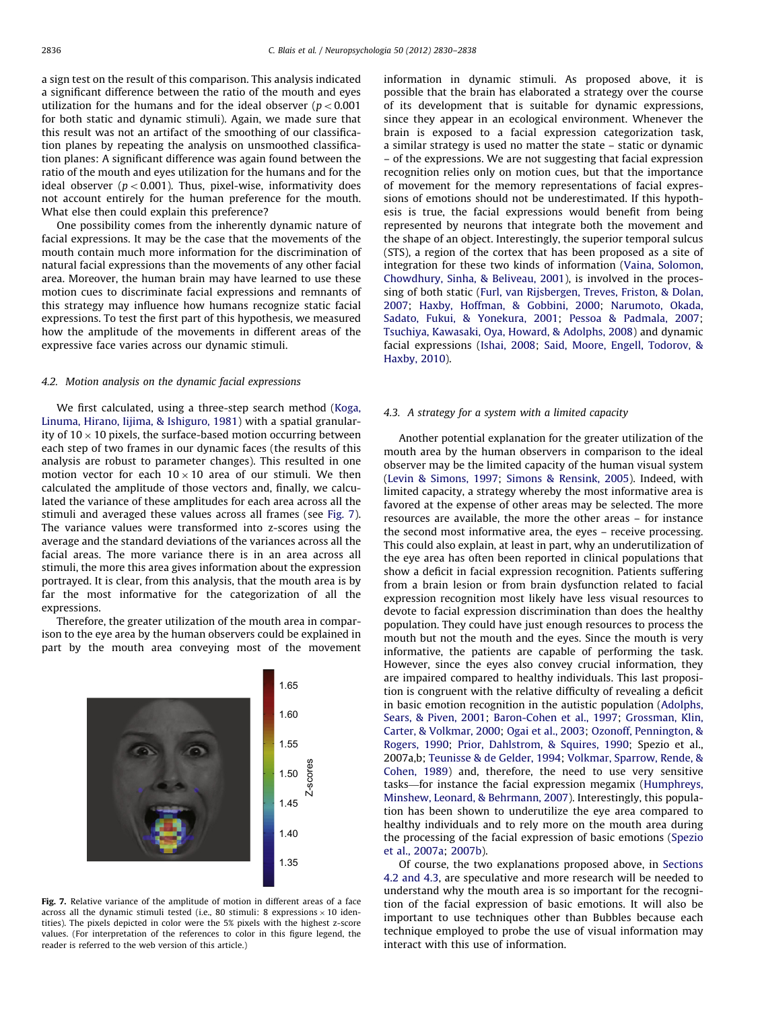a sign test on the result of this comparison. This analysis indicated a significant difference between the ratio of the mouth and eyes utilization for the humans and for the ideal observer ( $p < 0.001$ ) for both static and dynamic stimuli). Again, we made sure that this result was not an artifact of the smoothing of our classification planes by repeating the analysis on unsmoothed classification planes: A significant difference was again found between the ratio of the mouth and eyes utilization for the humans and for the ideal observer ( $p < 0.001$ ). Thus, pixel-wise, informativity does not account entirely for the human preference for the mouth. What else then could explain this preference?

One possibility comes from the inherently dynamic nature of facial expressions. It may be the case that the movements of the mouth contain much more information for the discrimination of natural facial expressions than the movements of any other facial area. Moreover, the human brain may have learned to use these motion cues to discriminate facial expressions and remnants of this strategy may influence how humans recognize static facial expressions. To test the first part of this hypothesis, we measured how the amplitude of the movements in different areas of the expressive face varies across our dynamic stimuli.

## 4.2. Motion analysis on the dynamic facial expressions

We first calculated, using a three-step search method [\(Koga,](#page-7-0) [Linuma, Hirano, Iijima,](#page-7-0) [& Ishiguro, 1981\)](#page-7-0) with a spatial granularity of 10  $\times$  10 pixels, the surface-based motion occurring between each step of two frames in our dynamic faces (the results of this analysis are robust to parameter changes). This resulted in one motion vector for each  $10\times 10$  area of our stimuli. We then calculated the amplitude of those vectors and, finally, we calculated the variance of these amplitudes for each area across all the stimuli and averaged these values across all frames (see Fig. 7). The variance values were transformed into z-scores using the average and the standard deviations of the variances across all the facial areas. The more variance there is in an area across all stimuli, the more this area gives information about the expression portrayed. It is clear, from this analysis, that the mouth area is by far the most informative for the categorization of all the expressions.

Therefore, the greater utilization of the mouth area in comparison to the eye area by the human observers could be explained in part by the mouth area conveying most of the movement



Fig. 7. Relative variance of the amplitude of motion in different areas of a face across all the dynamic stimuli tested (i.e., 80 stimuli: 8 expressions  $\times$  10 identities). The pixels depicted in color were the 5% pixels with the highest z-score values. (For interpretation of the references to color in this figure legend, the reader is referred to the web version of this article.)

information in dynamic stimuli. As proposed above, it is possible that the brain has elaborated a strategy over the course of its development that is suitable for dynamic expressions, since they appear in an ecological environment. Whenever the brain is exposed to a facial expression categorization task, a similar strategy is used no matter the state – static or dynamic – of the expressions. We are not suggesting that facial expression recognition relies only on motion cues, but that the importance of movement for the memory representations of facial expressions of emotions should not be underestimated. If this hypothesis is true, the facial expressions would benefit from being represented by neurons that integrate both the movement and the shape of an object. Interestingly, the superior temporal sulcus (STS), a region of the cortex that has been proposed as a site of integration for these two kinds of information ([Vaina, Solomon,](#page-8-0) [Chowdhury, Sinha, & Beliveau, 2001\)](#page-8-0), is involved in the processing of both static ([Furl, van Rijsbergen, Treves, Friston, & Dolan,](#page-7-0) [2007;](#page-7-0) [Haxby, Hoffman, & Gobbini, 2000](#page-7-0); [Narumoto, Okada,](#page-7-0) [Sadato, Fukui,](#page-7-0) & [Yonekura, 2001;](#page-7-0) [Pessoa & Padmala, 2007;](#page-8-0) [Tsuchiya, Kawasaki, Oya, Howard, & Adolphs, 2008\)](#page-8-0) and dynamic facial expressions ([Ishai, 2008;](#page-7-0) [Said, Moore, Engell, Todorov, &](#page-8-0) [Haxby, 2010](#page-8-0)).

# 4.3. A strategy for a system with a limited capacity

Another potential explanation for the greater utilization of the mouth area by the human observers in comparison to the ideal observer may be the limited capacity of the human visual system ([Levin](#page-7-0) & [Simons, 1997;](#page-7-0) [Simons & Rensink, 2005\)](#page-8-0). Indeed, with limited capacity, a strategy whereby the most informative area is favored at the expense of other areas may be selected. The more resources are available, the more the other areas – for instance the second most informative area, the eyes – receive processing. This could also explain, at least in part, why an underutilization of the eye area has often been reported in clinical populations that show a deficit in facial expression recognition. Patients suffering from a brain lesion or from brain dysfunction related to facial expression recognition most likely have less visual resources to devote to facial expression discrimination than does the healthy population. They could have just enough resources to process the mouth but not the mouth and the eyes. Since the mouth is very informative, the patients are capable of performing the task. However, since the eyes also convey crucial information, they are impaired compared to healthy individuals. This last proposition is congruent with the relative difficulty of revealing a deficit in basic emotion recognition in the autistic population ([Adolphs,](#page-7-0) [Sears,](#page-7-0) & [Piven, 2001;](#page-7-0) [Baron-Cohen et al., 1997;](#page-7-0) [Grossman, Klin,](#page-7-0) [Carter,](#page-7-0) [& Volkmar, 2000](#page-7-0); [Ogai et al., 2003;](#page-7-0) [Ozonoff, Pennington, &](#page-7-0) [Rogers, 1990;](#page-7-0) [Prior, Dahlstrom, & Squires, 1990](#page-8-0); Spezio et al., 2007a,b; [Teunisse & de Gelder, 1994;](#page-8-0) [Volkmar, Sparrow, Rende, &](#page-8-0) [Cohen, 1989](#page-8-0)) and, therefore, the need to use very sensitive tasks—for instance the facial expression megamix [\(Humphreys,](#page-7-0) [Minshew, Leonard, & Behrmann, 2007\)](#page-7-0). Interestingly, this population has been shown to underutilize the eye area compared to healthy individuals and to rely more on the mouth area during the processing of the facial expression of basic emotions ([Spezio](#page-8-0) [et al., 2007a;](#page-8-0) [2007b\)](#page-8-0).

Of course, the two explanations proposed above, in Sections 4.2 and 4.3, are speculative and more research will be needed to understand why the mouth area is so important for the recognition of the facial expression of basic emotions. It will also be important to use techniques other than Bubbles because each technique employed to probe the use of visual information may interact with this use of information.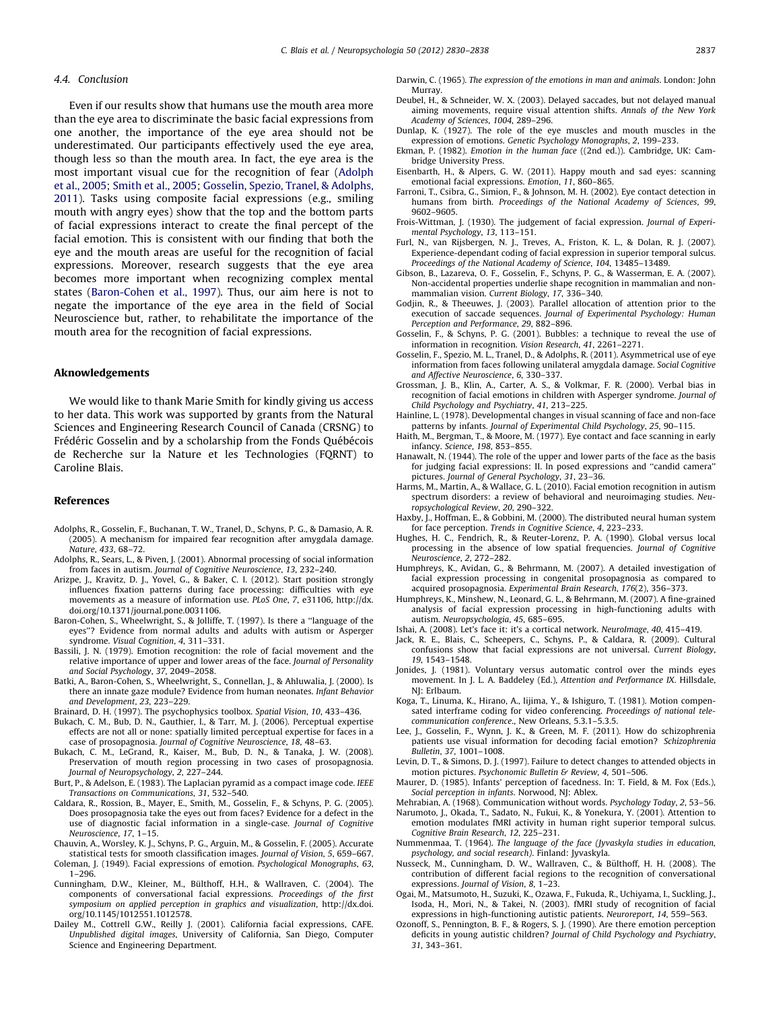# <span id="page-7-0"></span>4.4. Conclusion

Even if our results show that humans use the mouth area more than the eye area to discriminate the basic facial expressions from one another, the importance of the eye area should not be underestimated. Our participants effectively used the eye area, though less so than the mouth area. In fact, the eye area is the most important visual cue for the recognition of fear (Adolph et al., 2005; [Smith et al., 2005;](#page-8-0) Gosselin, Spezio, Tranel, & Adolphs, 2011). Tasks using composite facial expressions (e.g., smiling mouth with angry eyes) show that the top and the bottom parts of facial expressions interact to create the final percept of the facial emotion. This is consistent with our finding that both the eye and the mouth areas are useful for the recognition of facial expressions. Moreover, research suggests that the eye area becomes more important when recognizing complex mental states (Baron-Cohen et al., 1997). Thus, our aim here is not to negate the importance of the eye area in the field of Social Neuroscience but, rather, to rehabilitate the importance of the mouth area for the recognition of facial expressions.

# Aknowledgements

We would like to thank Marie Smith for kindly giving us access to her data. This work was supported by grants from the Natural Sciences and Engineering Research Council of Canada (CRSNG) to Frédéric Gosselin and by a scholarship from the Fonds Québécois de Recherche sur la Nature et les Technologies (FQRNT) to Caroline Blais.

# References

- Adolphs, R., Gosselin, F., Buchanan, T. W., Tranel, D., Schyns, P. G., & Damasio, A. R. (2005). A mechanism for impaired fear recognition after amygdala damage. Nature, 433, 68–72.
- Adolphs, R., Sears, L., & Piven, J. (2001). Abnormal processing of social information from faces in autism. Journal of Cognitive Neuroscience, 13, 232–240.
- Arizpe, J., Kravitz, D. J., Yovel, G., & Baker, C. I. (2012). Start position strongly influences fixation patterns during face processing: difficulties with eye movements as a measure of information use. PLoS One, 7, e31106, [http://dx.](dx.doi.org/10.1371/journal.pone.0031106) [doi.org/10.1371/journal.pone.0031106](dx.doi.org/10.1371/journal.pone.0031106).
- Baron-Cohen, S., Wheelwright, S., & Jolliffe, T. (1997). Is there a ''language of the eyes''? Evidence from normal adults and adults with autism or Asperger syndrome. Visual Cognition, 4, 311–331.
- Bassili, J. N. (1979). Emotion recognition: the role of facial movement and the relative importance of upper and lower areas of the face. Journal of Personality and Social Psychology, 37, 2049–2058.
- Batki, A., Baron-Cohen, S., Wheelwright, S., Connellan, J., & Ahluwalia, J. (2000). Is there an innate gaze module? Evidence from human neonates. Infant Behavior and Development, 23, 223–229.
- Brainard, D. H. (1997). The psychophysics toolbox. Spatial Vision, 10, 433–436.
- Bukach, C. M., Bub, D. N., Gauthier, I., & Tarr, M. J. (2006). Perceptual expertise effects are not all or none: spatially limited perceptual expertise for faces in a case of prosopagnosia. Journal of Cognitive Neuroscience, 18, 48–63.
- Bukach, C. M., LeGrand, R., Kaiser, M., Bub, D. N., & Tanaka, J. W. (2008). Preservation of mouth region processing in two cases of prosopagnosia. Journal of Neuropsychology, 2, 227–244.
- Burt, P., & Adelson, E. (1983). The Laplacian pyramid as a compact image code. IEEE Transactions on Communications, 31, 532–540.
- Caldara, R., Rossion, B., Mayer, E., Smith, M., Gosselin, F., & Schyns, P. G. (2005). Does prosopagnosia take the eyes out from faces? Evidence for a defect in the use of diagnostic facial information in a single-case. Journal of Cognitive Neuroscience, 17, 1–15.
- Chauvin, A., Worsley, K. J., Schyns, P. G., Arguin, M., & Gosselin, F. (2005). Accurate statistical tests for smooth classification images. Journal of Vision, 5, 659–667.
- Coleman, J. (1949). Facial expressions of emotion. Psychological Monographs, 63, 1–296.
- Cunningham, D.W., Kleiner, M., Bülthoff, H.H., & Wallraven, C. (2004). The components of conversational facial expressions. Proceedings of the first symposium on applied perception in graphics and visualization, [http://dx.doi.](dx.doi.org/doi:10.1145/1012551.1012578) [org/10.1145/1012551.1012578](dx.doi.org/doi:10.1145/1012551.1012578).
- Dailey M., Cottrell G.W., Reilly J. (2001). California facial expressions, CAFE. Unpublished digital images, University of California, San Diego, Computer Science and Engineering Department.
- Darwin, C. (1965). The expression of the emotions in man and animals. London: John Murray.
- Deubel, H., & Schneider, W. X. (2003). Delayed saccades, but not delayed manual aiming movements, require visual attention shifts. Annals of the New York Academy of Sciences, 1004, 289–296.
- Dunlap, K. (1927). The role of the eye muscles and mouth muscles in the expression of emotions. Genetic Psychology Monographs, 2, 199–233.
- Ekman, P. (1982). Emotion in the human face ((2nd ed.)). Cambridge, UK: Cambridge University Press.
- Eisenbarth, H., & Alpers, G. W. (2011). Happy mouth and sad eyes: scanning emotional facial expressions. Emotion, 11, 860–865.
- Farroni, T., Csibra, G., Simion, F., & Johnson, M. H. (2002). Eye contact detection in humans from birth. Proceedings of the National Academy of Sciences, 99, 9602–9605.
- Frois-Wittman, J. (1930). The judgement of facial expression. Journal of Experimental Psychology, 13, 113–151.
- Furl, N., van Rijsbergen, N. J., Treves, A., Friston, K. L., & Dolan, R. J. (2007). Experience-dependant coding of facial expression in superior temporal sulcus. Proceedings of the National Academy of Science, 104, 13485–13489.
- Gibson, B., Lazareva, O. F., Gosselin, F., Schyns, P. G., & Wasserman, E. A. (2007). Non-accidental properties underlie shape recognition in mammalian and nonmammalian vision. Current Biology, 17, 336–340.
- Godjin, R., & Theeuwes, J. (2003). Parallel allocation of attention prior to the execution of saccade sequences. Journal of Experimental Psychology: Human Perception and Performance, 29, 882–896.
- Gosselin, F., & Schyns, P. G. (2001). Bubbles: a technique to reveal the use of information in recognition. Vision Research, 41, 2261–2271.
- Gosselin, F., Spezio, M. L., Tranel, D., & Adolphs, R. (2011). Asymmetrical use of eye information from faces following unilateral amygdala damage. Social Cognitive and Affective Neuroscience, 6, 330–337.
- Grossman, J. B., Klin, A., Carter, A. S., & Volkmar, F. R. (2000). Verbal bias in recognition of facial emotions in children with Asperger syndrome. Journal of Child Psychology and Psychiatry, 41, 213–225.
- Hainline, L. (1978). Developmental changes in visual scanning of face and non-face patterns by infants. Journal of Experimental Child Psychology, 25, 90–115.
- Haith, M., Bergman, T., & Moore, M. (1977). Eye contact and face scanning in early infancy. Science, 198, 853–855.
- Hanawalt, N. (1944). The role of the upper and lower parts of the face as the basis for judging facial expressions: II. In posed expressions and ''candid camera'' pictures. Journal of General Psychology, 31, 23–36.
- Harms, M., Martin, A., & Wallace, G. L. (2010). Facial emotion recognition in autism spectrum disorders: a review of behavioral and neuroimaging studies. Neuropsychological Review, 20, 290–322.
- Haxby, J., Hoffman, E., & Gobbini, M. (2000). The distributed neural human system for face perception. Trends in Cognitive Science, 4, 223–233.
- Hughes, H. C., Fendrich, R., & Reuter-Lorenz, P. A. (1990). Global versus local processing in the absence of low spatial frequencies. Journal of Cognitive Neuroscience, 2, 272–282.
- Humphreys, K., Avidan, G., & Behrmann, M. (2007). A detailed investigation of facial expression processing in congenital prosopagnosia as compared to acquired prosopagnosia. Experimental Brain Research, 176(2), 356–373.
- Humphreys, K., Minshew, N., Leonard, G. L., & Behrmann, M. (2007). A fine-grained analysis of facial expression processing in high-functioning adults with autism. Neuropsychologia, 45, 685–695.
- Ishai, A. (2008). Let's face it: it's a cortical network. NeuroImage, 40, 415–419.
- Jack, R. E., Blais, C., Scheepers, C., Schyns, P., & Caldara, R. (2009). Cultural confusions show that facial expressions are not universal. Current Biology, 19, 1543–1548.
- Jonides, J. (1981). Voluntary versus automatic control over the minds eyes movement. In J. L. A. Baddeley (Ed.), Attention and Performance IX. Hillsdale, NJ: Erlbaum.
- Koga, T., Linuma, K., Hirano, A., Iijima, Y., & Ishiguro, T. (1981). Motion compensated interframe coding for video conferencing. Proceedings of national telecommunication conference., New Orleans, 5.3.1–5.3.5.
- Lee, J., Gosselin, F., Wynn, J. K., & Green, M. F. (2011). How do schizophrenia patients use visual information for decoding facial emotion? Schizophrenia Bulletin, 37, 1001–1008.
- Levin, D. T., & Simons, D. J. (1997). Failure to detect changes to attended objects in motion pictures. Psychonomic Bulletin & Review, 4, 501-506.
- Maurer, D. (1985). Infants' perception of facedness. In: T. Field, & M. Fox (Eds.), Social perception in infants. Norwood, NI: Ablex.
- Mehrabian, A. (1968). Communication without words. Psychology Today, 2, 53–56.
- Narumoto, J., Okada, T., Sadato, N., Fukui, K., & Yonekura, Y. (2001). Attention to emotion modulates fMRI activity in human right superior temporal sulcus. Cognitive Brain Research, 12, 225–231.
- Nummenmaa, T. (1964). The language of the face (Jyvaskyla studies in education, psychology, and social research). Finland: Jyvaskyla.
- Nusseck, M., Cunningham, D. W., Wallraven, C., & Bülthoff, H. H. (2008). The contribution of different facial regions to the recognition of conversational expressions. Journal of Vision, 8, 1–23.
- Ogai, M., Matsumoto, H., Suzuki, K., Ozawa, F., Fukuda, R., Uchiyama, I., Suckling, J., Isoda, H., Mori, N., & Takei, N. (2003). fMRI study of recognition of facial expressions in high-functioning autistic patients. Neuroreport, 14, 559–563.
- Ozonoff, S., Pennington, B. F., & Rogers, S. J. (1990). Are there emotion perception deficits in young autistic children? Journal of Child Psychology and Psychiatry, 31, 343–361.